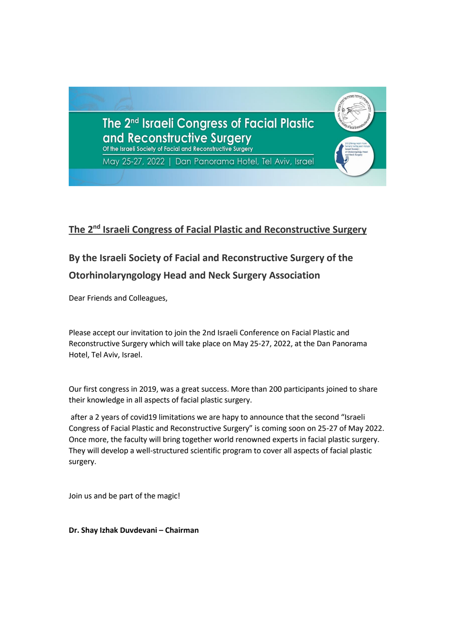

# **The 2<sup>nd</sup> Israeli Congress of Facial Plastic and Reconstructive Surgery**

# **By the Israeli Society of Facial and Reconstructive Surgery of the Otorhinolaryngology Head and Neck Surgery Association**

Dear Friends and Colleagues,

Please accept our invitation to join the 2nd Israeli Conference on Facial Plastic and Reconstructive Surgery which will take place on May 25-27, 2022, at the Dan Panorama Hotel, Tel Aviv, Israel.

Our first congress in 2019, was a great success. More than 200 participants joined to share their knowledge in all aspects of facial plastic surgery.

after a 2 years of covid19 limitations we are hapy to announce that the second "Israeli Congress of Facial Plastic and Reconstructive Surgery" is coming soon on 25-27 of May 2022. Once more, the faculty will bring together world renowned experts in facial plastic surgery. They will develop a well-structured scientific program to cover all aspects of facial plastic surgery.

Join us and be part of the magic !

**Dr. Shay Izhak Duvdevani – Chairman**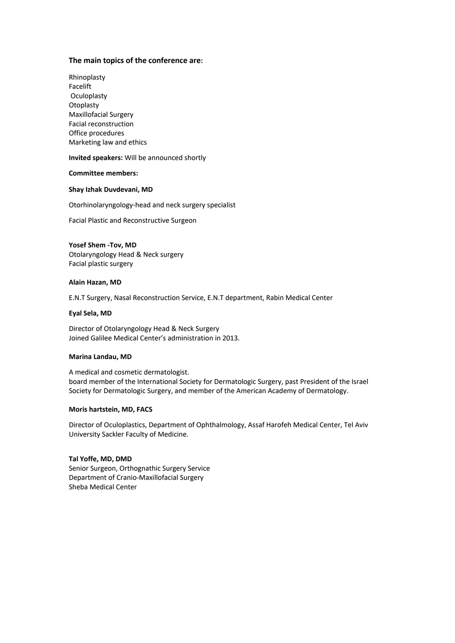### **The main topics of the conference are:**

Rhinoplasty Facelift Oculoplasty **Otoplasty** Maxillofacial Surgery Facial reconstruction Office procedures Marketing law and ethics

**Invited speakers:** Will be announced shortly

#### **Committee members:**

#### **Shay Izhak Duvdevani, MD**

Otorhinolaryngology-head and neck surgery specialist

Facial Plastic and Reconstructive Surgeon

**Yosef Shem -Tov, MD**  Otolaryngology Head & Neck surgery Facial plastic surgery

#### **Alain Hazan, MD**

E.N.T Surgery, Nasal Reconstruction Service, E.N.T department, Rabin Medical Center

#### **Eyal Sela, MD**

Director of Otolaryngology Head & Neck Surgery Joined Galilee Medical Center's administration in 2013.

#### **Marina Landau, MD**

A medical and cosmetic dermatologist. board member of the International Society for Dermatologic Surgery, past President of the Israel Society for Dermatologic Surgery, and member of the American Academy of Dermatology.

#### **Moris hartstein, MD, FACS**

Director of Oculoplastics, Department of Ophthalmology, Assaf Harofeh Medical Center, Tel Aviv University Sackler Faculty of Medicine.

#### **Tal Yoffe, MD, DMD**

Senior Surgeon, Orthognathic Surgery Service Department of Cranio-Maxillofacial Surgery Sheba Medical Center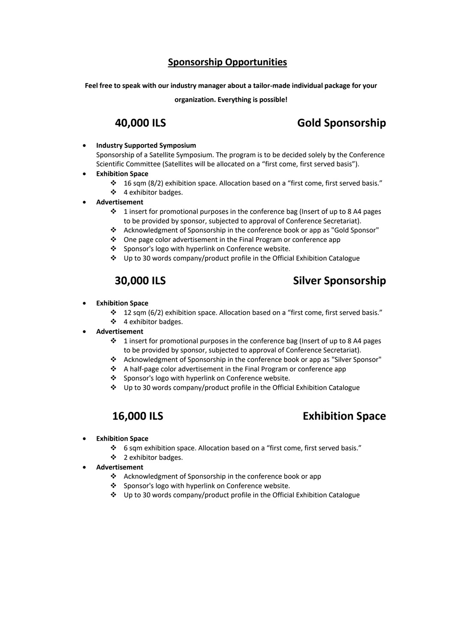## **Sponsorship Opportunities**

**Feel free to speak with our industry manager about a tailor-made individual package for your** 

**organization. Everything is possible!**

# **40,000 ILS Gold Sponsorship**

- **Industry Supported Symposium** Sponsorship of a Satellite Symposium. The program is to be decided solely by the Conference Scientific Committee (Satellites will be allocated on a "first come, first served basis").
- **Exhibition Space**
	- ❖ 16 sqm (8/2) exhibition space. Allocation based on a "first come, first served basis." ❖ 4 exhibitor badges.
- **Advertisement**
	- $\cdot \cdot$  1 insert for promotional purposes in the conference bag (Insert of up to 8 A4 pages to be provided by sponsor, subjected to approval of Conference Secretariat).
	- ❖ Acknowledgment of Sponsorship in the conference book or app as "Gold Sponsor"
	- ❖ One page color advertisement in the Final Program or conference app
	- ❖ Sponsor's logo with hyperlink on Conference website.
	- ❖ Up to 30 words company/product profile in the Official Exhibition Catalogue

# **30,000 ILS** Silver Sponsorship

- **Exhibition Space**
	- ❖ 12 sqm (6/2) exhibition space. Allocation based on a "first come, first served basis." ❖ 4 exhibitor badges.
- **Advertisement**
	- $\cdot \cdot$  1 insert for promotional purposes in the conference bag (Insert of up to 8 A4 pages to be provided by sponsor, subjected to approval of Conference Secretariat).
	- ❖ Acknowledgment of Sponsorship in the conference book or app as "Silver Sponsor"
	- ❖ A half-page color advertisement in the Final Program or conference app
	- ❖ Sponsor's logo with hyperlink on Conference website.
	- ❖ Up to 30 words company/product profile in the Official Exhibition Catalogue

## **16,000 ILS Exhibition Space**

- **Exhibition Space**
	- ❖ 6 sqm exhibition space. Allocation based on a "first come, first served basis."
	- ❖ 2 exhibitor badges.
- **Advertisement**
	- ❖ Acknowledgment of Sponsorship in the conference book or app
	- ❖ Sponsor's logo with hyperlink on Conference website.
	- ❖ Up to 30 words company/product profile in the Official Exhibition Catalogue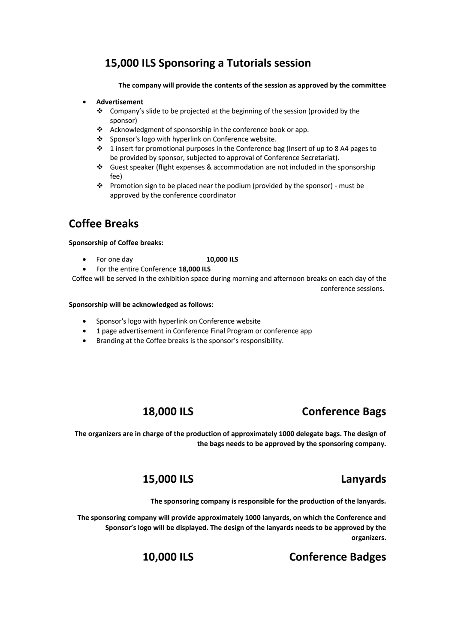# **15,000 ILS Sponsoring a Tutorials session**

**The company will provide the contents of the session as approved by the committee**

## • **Advertisement**

- ❖ Company's slide to be projected at the beginning of the session (provided by the sponsor)
- ❖ Acknowledgment of sponsorship in the conference book or app.
- ❖ Sponsor's logo with hyperlink on Conference website.
- ❖ 1 insert for promotional purposes in the Conference bag (Insert of up to 8 A4 pages to be provided by sponsor, subjected to approval of Conference Secretariat).
- ❖ Guest speaker (flight expenses & accommodation are not included in the sponsorship fee)
- ❖ Promotion sign to be placed near the podium (provided by the sponsor) must be approved by the conference coordinator

# **Coffee Breaks**

### **Sponsorship of Coffee breaks:**

- For one day **10,000 ILS**
- For the entire Conference **18,000 ILS**

Coffee will be served in the exhibition space during morning and afternoon breaks on each day of the conference sessions.

### **Sponsorship will be acknowledged as follows:**

- Sponsor's logo with hyperlink on Conference website
- 1 page advertisement in Conference Final Program or conference app
- Branding at the Coffee breaks is the sponsor's responsibility.

## **18,000 ILS Conference Bags**

**The organizers are in charge of the production of approximately 1000 delegate bags. The design of the bags needs to be approved by the sponsoring company.**

## **15,000 ILS Lanyards**

**The sponsoring company is responsible for the production of the lanyards.**

**The sponsoring company will provide approximately 1000 lanyards, on which the Conference and Sponsor's logo will be displayed. The design of the lanyards needs to be approved by the organizers.**

# **10,000 ILS Conference Badges**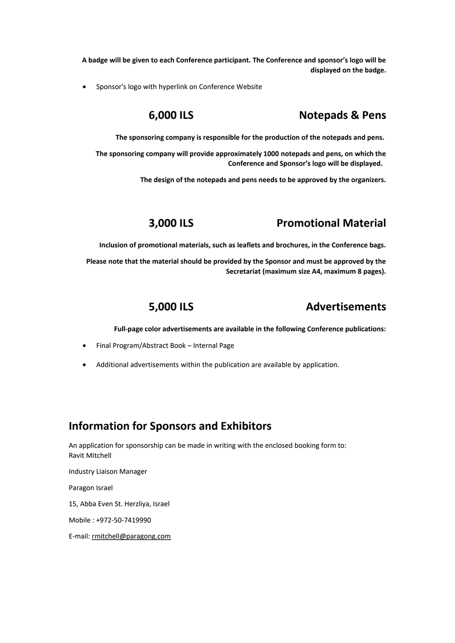**A badge will be given to each Conference participant. The Conference and sponsor's logo will be displayed on the badge.**

• Sponsor's logo with hyperlink on Conference Website

# **6,000 ILS Notepads & Pens**

**The sponsoring company is responsible for the production of the notepads and pens.** 

**The sponsoring company will provide approximately 1000 notepads and pens, on which the Conference and Sponsor's logo will be displayed.** 

**The design of the notepads and pens needs to be approved by the organizers.**

## **3,000 ILS Promotional Material**

**Inclusion of promotional materials, such as leaflets and brochures, in the Conference bags.**

**Please note that the material should be provided by the Sponsor and must be approved by the Secretariat (maximum size A4, maximum 8 pages).**

## **5,000 ILS Advertisements**

**Full-page color advertisements are available in the following Conference publications:**

- Final Program/Abstract Book Internal Page
- Additional advertisements within the publication are available by application.

## **Information for Sponsors and Exhibitors**

An application for sponsorship can be made in writing with the enclosed booking form to: Ravit Mitchell

Industry Liaison Manager

Paragon Israel

15, Abba Even St. Herzliya, Israel

Mobile : +972-50-7419990

E-mail: [rmitchell@paragong.com](mailto:רrmitchell@paragong.com)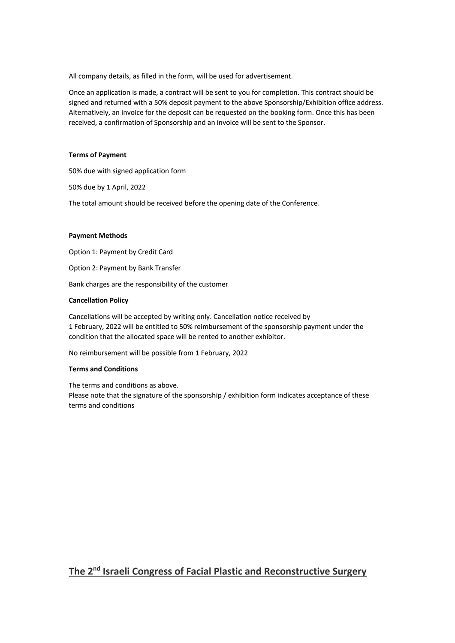All company details, as filled in the form, will be used for advertisement.

Once an application is made, a contract will be sent to you for completion. This contract should be signed and returned with a 50% deposit payment to the above Sponsorship/Exhibition office address. Alternatively, an invoice for the deposit can be requested on the booking form. Once this has been received, a confirmation of Sponsorship and an invoice will be sent to the Sponsor.

### **Terms of Payment**

50% due with signed application form

50% due by 1 April, 2022

The total amount should be received before the opening date of the Conference.

### **Payment Methods**

Option 1: Payment by Credit Card Option 2: Payment by Bank Transfer Bank charges are the responsibility of the customer

## **Cancellation Policy**

Cancellations will be accepted by writing only. Cancellation notice received by 1 February, 2022 will be entitled to 50% reimbursement of the sponsorship payment under the condition that the allocated space will be rented to another exhibitor.

No reimbursement will be possible from 1 February, 2022

### **Terms and Conditions**

The terms and conditions as above. Please note that the signature of the sponsorship / exhibition form indicates acceptance of these terms and conditions

## **The 2nd Israeli Congress of Facial Plastic and Reconstructive Surgery**